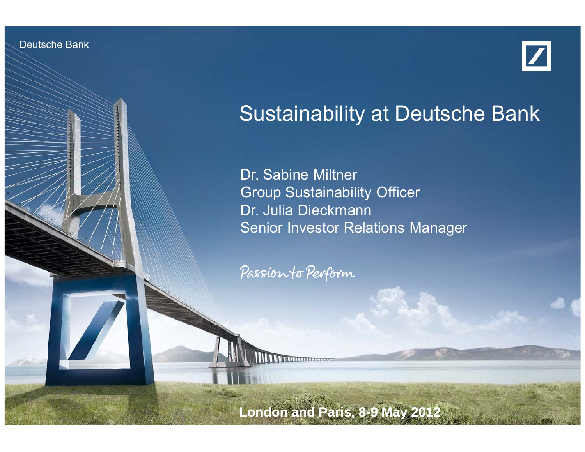Deutsche Bank

Investor Relations 05/12



# Sustainability at Deutsche Bank

Dr. Sabine Miltner Group Sustainability Officer Dr. Julia Dieckmann Senior Investor Relations Manager

Passion to Perform

Sustainability at Deutsche Bank Dr. Milton, Dr. Dieckmann, Dr. Die Erstehnung

**London and Paris, 8-9 May 2012**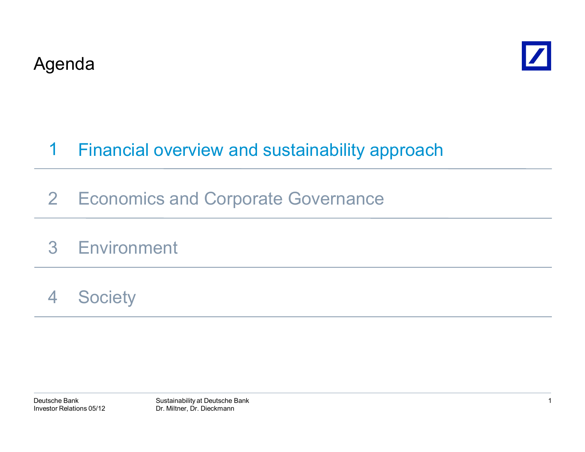



#### Financial overview and sustainability approach 1

- 2 Economics and Corporate Governance
- 3 Environment
- 4**Society**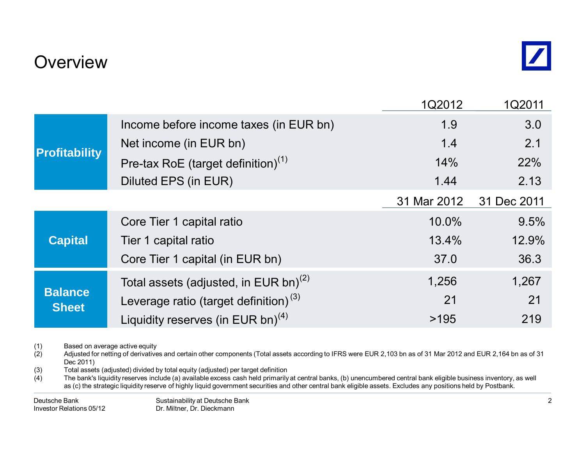### **Overview**

|                                |                                                   | 1Q2012      | 1Q2011      |
|--------------------------------|---------------------------------------------------|-------------|-------------|
| <b>Profitability</b>           | Income before income taxes (in EUR bn)            | 1.9         | 3.0         |
|                                | Net income (in EUR bn)                            | 1.4         | 2.1         |
|                                | Pre-tax RoE (target definition) $(1)$             | 14%         | 22%         |
|                                | Diluted EPS (in EUR)                              | 1.44        | 2.13        |
|                                |                                                   | 31 Mar 2012 | 31 Dec 2011 |
| <b>Capital</b>                 | Core Tier 1 capital ratio                         | 10.0%       | 9.5%        |
|                                | Tier 1 capital ratio                              | 13.4%       | 12.9%       |
|                                | Core Tier 1 capital (in EUR bn)                   | 37.0        | 36.3        |
| <b>Balance</b><br><b>Sheet</b> | Total assets (adjusted, in EUR bn) <sup>(2)</sup> | 1,256       | 1,267       |
|                                | Leverage ratio (target definition) $(3)$          | 21          | 21          |
|                                | Liquidity reserves (in EUR bn) <sup>(4)</sup>     | >195        | 219         |

(1) Based on average active equity<br>(2) Adjusted for netting of derivative

Adjusted for netting of derivatives and certain other components (Total assets according to IFRS were EUR 2,103 bn as of 31 Mar 2012 and EUR 2,164 bn as of 31 Dec 2011)

(3) Total assets (adjusted) divided by total equity (adjusted) per target definition (4) The bank's liquidity reserves include (a) available excess cash held primarily

The bank's liquidity reserves include (a) available excess cash held primarily at central banks, (b) unencumbered central bank eligible business inventory, as well as (c) the strategic liquidity reserve of highly liquid government securities and other central bank eligible assets. Excludes any positions held by Postbank.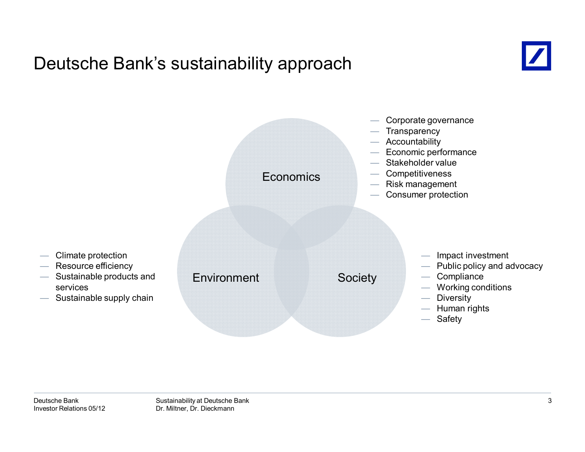### Deutsche Bank's sustainability approach



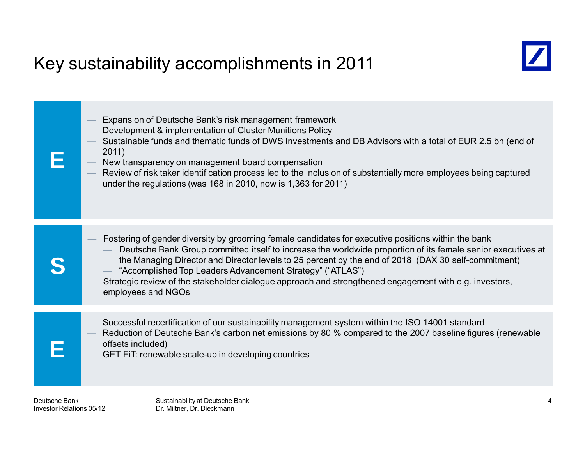# Key sustainability accomplishments in 2011





- Development & implementation of Cluster Munitions Policy
- Sustainable funds and thematic funds of DWS Investments and DB Advisors with a total of EUR 2.5 bn (end of 2011)
- New transparency on management board compensation
- Review of risk taker identification process led to the inclusion of substantially more employees being captured under the regulations (was 168 in 2010, now is 1,363 for 2011)

|   | Fostering of gender diversity by grooming female candidates for executive positions within the bank<br>Deutsche Bank Group committed itself to increase the worldwide proportion of its female senior executives at<br>the Managing Director and Director levels to 25 percent by the end of 2018 (DAX 30 self-commitment)<br>- "Accomplished Top Leaders Advancement Strategy" ("ATLAS")<br>Strategic review of the stakeholder dialogue approach and strengthened engagement with e.g. investors,<br>employees and NGOs |
|---|---------------------------------------------------------------------------------------------------------------------------------------------------------------------------------------------------------------------------------------------------------------------------------------------------------------------------------------------------------------------------------------------------------------------------------------------------------------------------------------------------------------------------|
|   |                                                                                                                                                                                                                                                                                                                                                                                                                                                                                                                           |
| F | Successful recertification of our sustainability management system within the ISO 14001 standard<br>Reduction of Deutsche Bank's carbon net emissions by 80 % compared to the 2007 baseline figures (renewable<br>offsets included)<br>GET FIT: renewable scale-up in developing countries                                                                                                                                                                                                                                |

**E**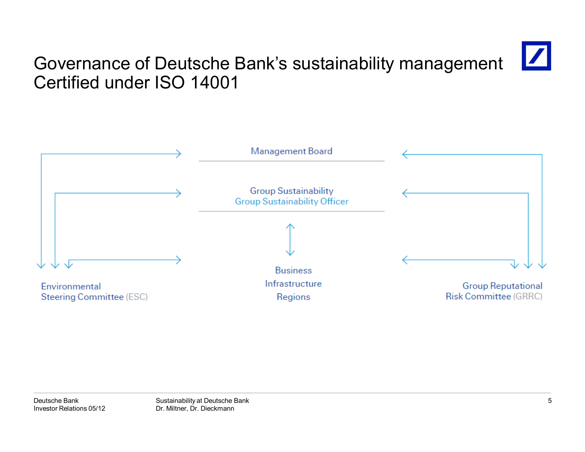# Governance of Deutsche Bank's sustainability management Certified under ISO 14001

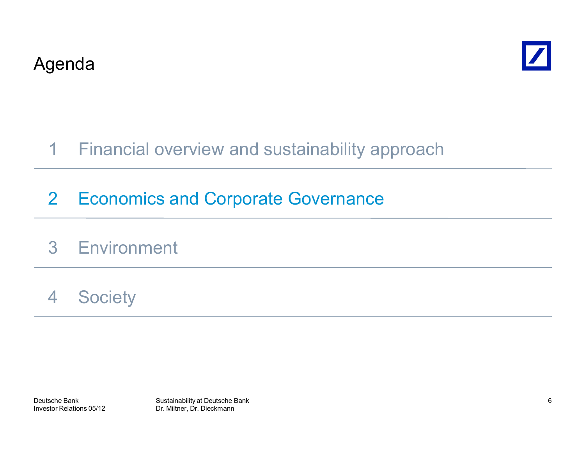



#### Financial overview and sustainability approach 1

# 2 Economics and Corporate Governance

# 3 Environment

#### 4**Society**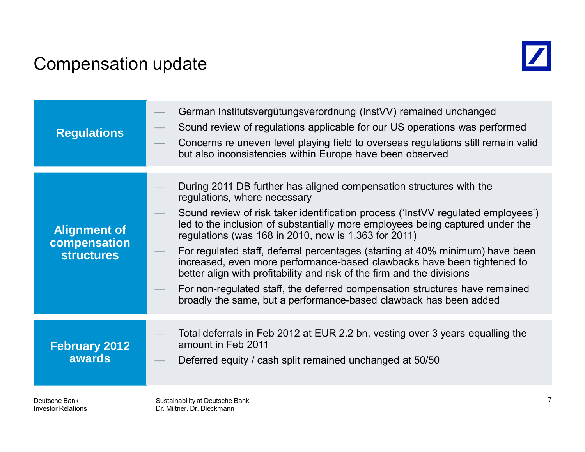### Compensation update



| <b>Regulations</b>                                       | German Institutsvergütungsverordnung (InstVV) remained unchanged<br>Sound review of regulations applicable for our US operations was performed<br>Concerns re uneven level playing field to overseas regulations still remain valid<br>but also inconsistencies within Europe have been observed                                                                                                                                                                                                                                                                                                                                                                                                                           |
|----------------------------------------------------------|----------------------------------------------------------------------------------------------------------------------------------------------------------------------------------------------------------------------------------------------------------------------------------------------------------------------------------------------------------------------------------------------------------------------------------------------------------------------------------------------------------------------------------------------------------------------------------------------------------------------------------------------------------------------------------------------------------------------------|
| <b>Alignment of</b><br>compensation<br><b>structures</b> | During 2011 DB further has aligned compensation structures with the<br>regulations, where necessary<br>Sound review of risk taker identification process ('InstVV regulated employees')<br>led to the inclusion of substantially more employees being captured under the<br>regulations (was 168 in 2010, now is 1,363 for 2011)<br>For regulated staff, deferral percentages (starting at 40% minimum) have been<br>increased, even more performance-based clawbacks have been tightened to<br>better align with profitability and risk of the firm and the divisions<br>For non-regulated staff, the deferred compensation structures have remained<br>broadly the same, but a performance-based clawback has been added |
| <b>February 2012</b><br><b>awards</b>                    | Total deferrals in Feb 2012 at EUR 2.2 bn, vesting over 3 years equalling the<br>amount in Feb 2011<br>Deferred equity / cash split remained unchanged at 50/50                                                                                                                                                                                                                                                                                                                                                                                                                                                                                                                                                            |
| Deutsche Bank<br>Investor Relations                      | Sustainability at Deutsche Bank<br>Dr. Miltner, Dr. Dieckmann                                                                                                                                                                                                                                                                                                                                                                                                                                                                                                                                                                                                                                                              |

Dr. Miltner, Dr. Dieckmann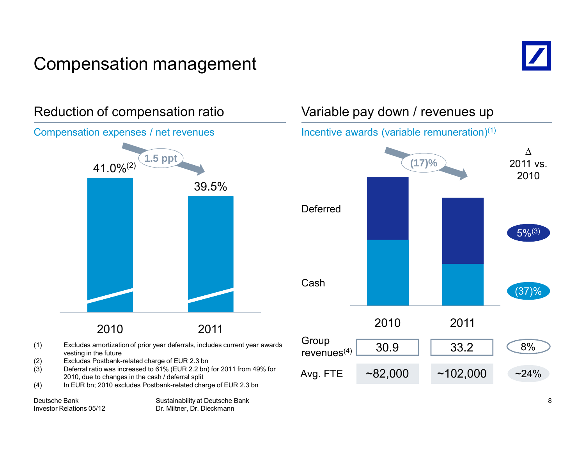# Compensation management





### Variable pay down / revenues up

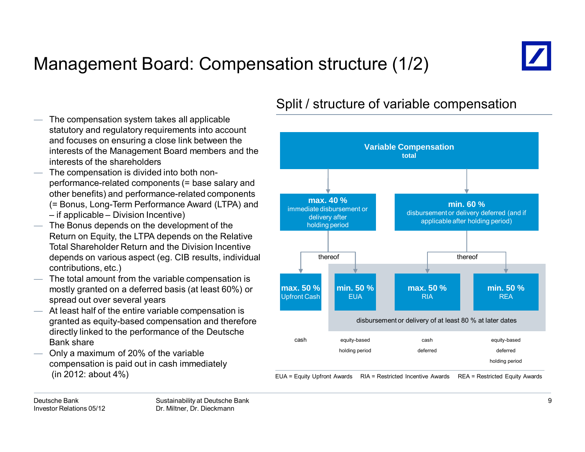# Management Board: Compensation structure (1/2)



 The compensation system takes all applicable statutory and regulatory requirements into account and focuses on ensuring a close link between the interests of the Management Board members and the interests of the shareholders

- The compensation is divided into both nonperformance-related components (= base salary and other benefits) and performance-related components (= Bonus, Long-Term Performance Award (LTPA) and – if applicable – Division Incentive)
- The Bonus depends on the development of the Return on Equity, the LTPA depends on the Relative Total Shareholder Return and the Division Incentive depends on various aspect (eg. CIB results, individual contributions, etc.)
- The total amount from the variable compensation is mostly granted on a deferred basis (at least 60%) or spread out over several years
- At least half of the entire variable compensation is granted as equity-based compensation and therefore directly linked to the performance of the Deutsche Bank share
- Only a maximum of 20% of the variable compensation is paid out in cash immediately (in 2012: about 4%)

### Split / structure of variable compensation

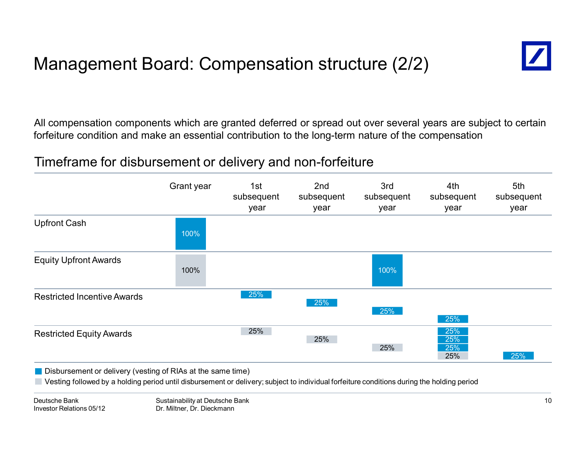# Management Board: Compensation structure (2/2)



All compensation components which are granted deferred or spread out over several years are subject to certain forfeiture condition and make an essential contribution to the long-term nature of the compensation

### Timeframe for disbursement or delivery and non-forfeiture



**Disbursement or delivery (vesting of RIAs at the same time)** 

Vesting followed by a holding period until disbursement or delivery; subject to individual forfeiture conditions during the holding period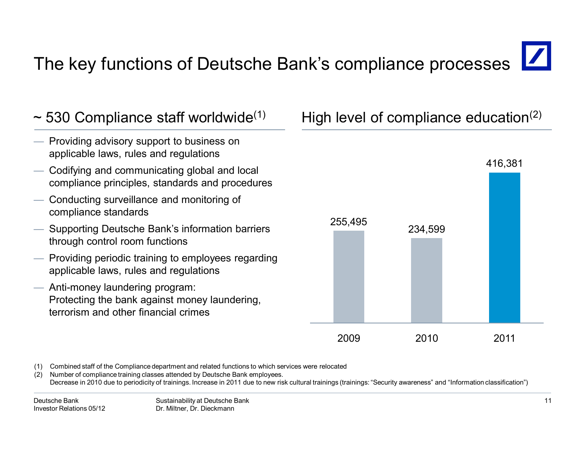# The key functions of Deutsche Bank's compliance processes



(1) Combined staff of the Compliance department and related functions to which services were relocated

Number of compliance training classes attended by Deutsche Bank employees. Decrease in 2010 due to periodicity of trainings. Increase in 2011 due to new risk cultural trainings (trainings: "Security awareness" and "Information classification")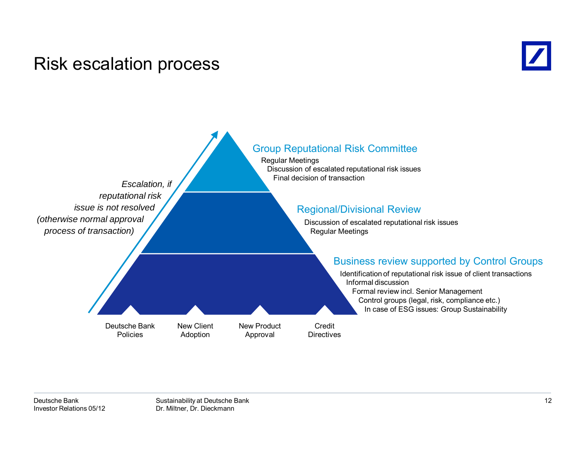### Risk escalation process



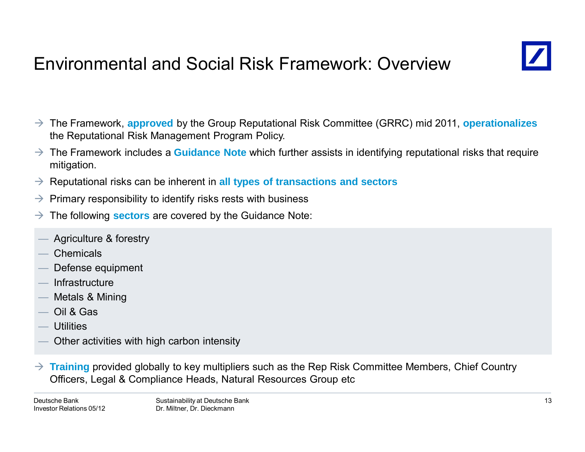# Environmental and Social Risk Framework: Overview



- The Framework, **approved** by the Group Reputational Risk Committee (GRRC) mid 2011, **operationalizes** the Reputational Risk Management Program Policy.
- $\rightarrow$  The Framework includes a **Guidance Note** which further assists in identifying reputational risks that require mitigation.
- → Reputational risks can be inherent in all types of transactions and sectors
- $\rightarrow$ Primary responsibility to identify risks rests with business
- $\rightarrow$ The following **sectors** are covered by the Guidance Note:
- Agriculture & forestry
- **Chemicals**
- Defense equipment
- **Infrastructure**
- Metals & Mining
- Oil & Gas
- **Utilities**
- Other activities with high carbon intensity
- $\rightarrow$  **Training** provided globally to key multipliers such as the Rep Risk Committee Members, Chief Country Officers, Legal & Compliance Heads, Natural Resources Group etc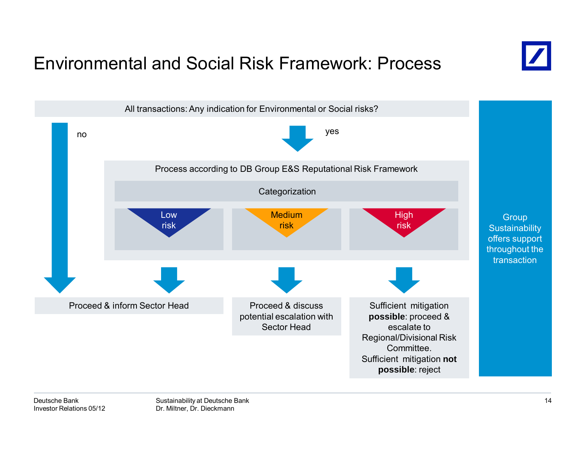## Environmental and Social Risk Framework: Process



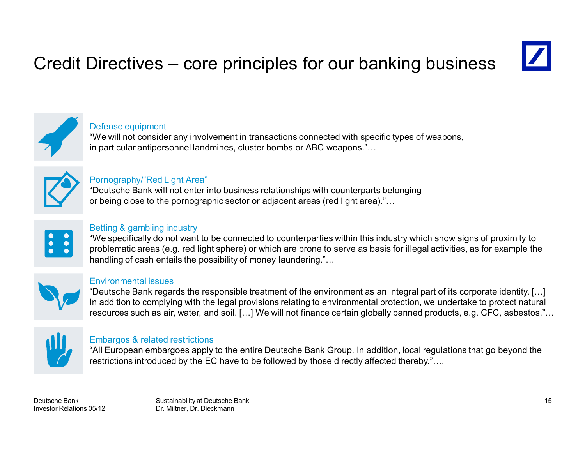# Credit Directives – core principles for our banking business





#### Defense equipment

"We will not consider any involvement in transactions connected with specific types of weapons, in particular antipersonnel landmines, cluster bombs or ABC weapons."…



#### Pornography/"Red Light Area"

"Deutsche Bank will not enter into business relationships with counterparts belonging or being close to the pornographic sector or adjacent areas (red light area)."…



#### Betting & gambling industry

"We specifically do not want to be connected to counterparties within this industry which show signs of proximity to problematic areas (e.g. red light sphere) or which are prone to serve as basis for illegal activities, as for example the handling of cash entails the possibility of money laundering."...



#### Environmental issues

"Deutsche Bank regards the responsible treatment of the environment as an integral part of its corporate identity. […] In addition to complying with the legal provisions relating to environmental protection, we undertake to protect natural resources such as air, water, and soil. […] We will not finance certain globally banned products, e.g. CFC, asbestos."…



#### Embargos & related restrictions

"All European embargoes apply to the entire Deutsche Bank Group. In addition, local regulations that go beyond the restrictions introduced by the EC have to be followed by those directly affected thereby."....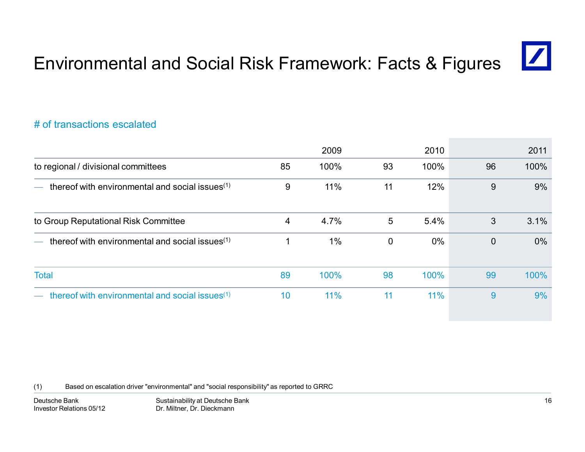16

# Environmental and Social Risk Framework: Facts & Figures

#### # of transactions escalated

|                                                             |    | 2009 |              | 2010  |                | 2011  |
|-------------------------------------------------------------|----|------|--------------|-------|----------------|-------|
| to regional / divisional committees                         | 85 | 100% | 93           | 100%  | 96             | 100%  |
| thereof with environmental and social issues $(1)$          | 9  | 11%  | 11           | 12%   | 9              | 9%    |
| to Group Reputational Risk Committee                        | 4  | 4.7% | 5            | 5.4%  | 3              | 3.1%  |
| thereof with environmental and social issues <sup>(1)</sup> |    | 1%   | $\mathbf{0}$ | $0\%$ | $\overline{0}$ | $0\%$ |
| <b>Total</b>                                                | 89 | 100% | 98           | 100%  | 99             | 100%  |
| thereof with environmental and social issues <sup>(1)</sup> | 10 | 11%  | 11           | 11%   | 9              | 9%    |

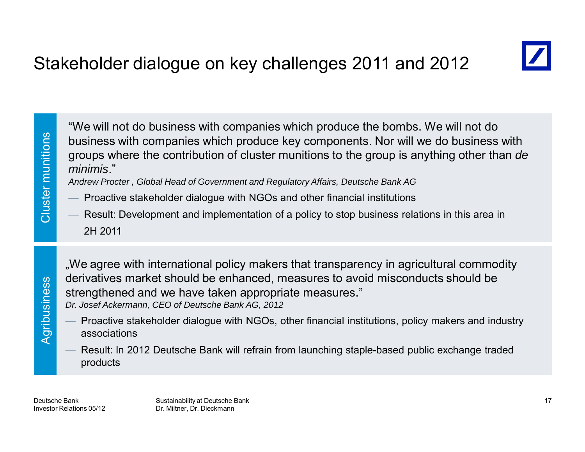

"We will not do business with companies which produce the bombs. We will not do<br>business with companies which produce key components. Nor will we do business with<br>groups where the contribution of cluster munitions to the g

- 
- 2H 2011

.We agree with international policy makers that transparency in agricultural commodity derivatives market should be enhanced, measures to avoid misconducts should be strengthened and we have taken appropriate measures." *Dr. Josef Ackermann, CEO of Deutsche Bank AG, 2012*

- Proactive stakeholder dialogue with NGOs, other financial institutions, policy makers and industry associations
- Result: In 2012 Deutsche Bank will refrain from launching staple-based public exchange traded products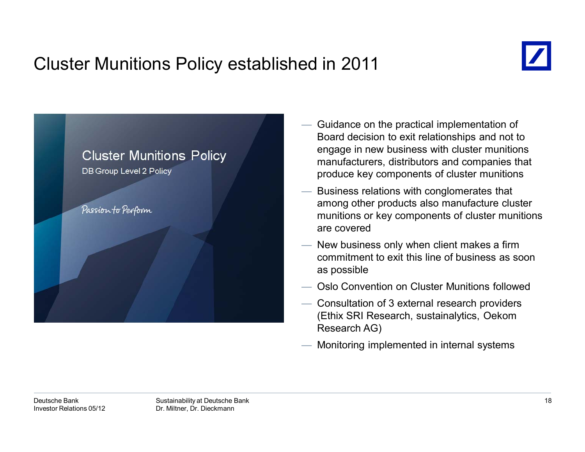# Cluster Munitions Policy established in 2011





- Guidance on the practical implementation of Board decision to exit relationships and not to engage in new business with cluster munitions manufacturers, distributors and companies that produce key components of cluster munitions
- Business relations with conglomerates that among other products also manufacture cluster munitions or key components of cluster munitions are covered
- New business only when client makes a firm commitment to exit this line of business as soon as possible
- Oslo Convention on Cluster Munitions followed
- Consultation of 3 external research providers (Ethix SRI Research, sustainalytics, Oekom Research AG)
- Monitoring implemented in internal systems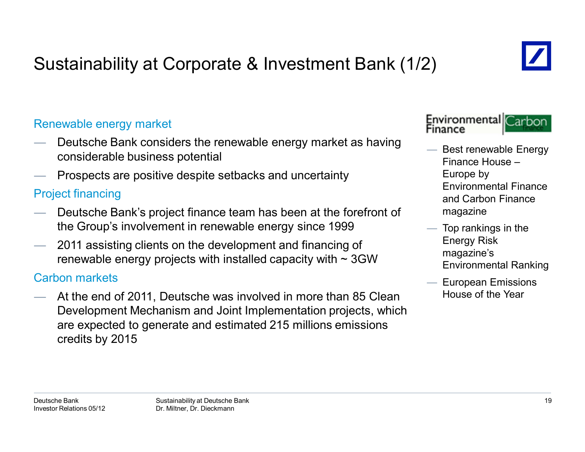# Sustainability at Corporate & Investment Bank (1/2)

#### Renewable energy market

- Deutsche Bank considers the renewable energy market as having considerable business potential
- Prospects are positive despite setbacks and uncertainty

### Project financing

- Deutsche Bank's project finance team has been at the forefront of the Group's involvement in renewable energy since 1999
- 2011 assisting clients on the development and financing of renewable energy projects with installed capacity with  $\sim$  3GW

#### Carbon markets

 At the end of 2011, Deutsche was involved in more than 85 Clean Development Mechanism and Joint Implementation projects, which are expected to generate and estimated 215 millions emissions credits by 2015



- Best renewable Energy Finance House –Europe by Environmental Finance and Carbon Finance magazine
- $-$  Top rankings in the Energy Risk magazine's Environmental Ranking
	- European Emissions House of the Year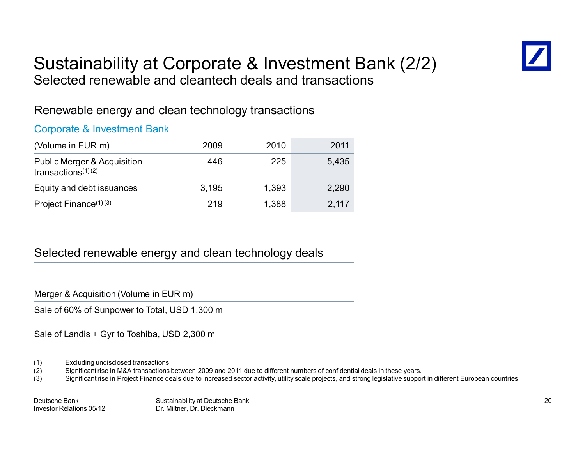

### Sustainability at Corporate & Investment Bank (2/2) Selected renewable and cleantech deals and transactions

### Renewable energy and clean technology transactions

#### Corporate & Investment Bank

| (Volume in EUR m)                                               | 2009  | 2010  | 2011  |
|-----------------------------------------------------------------|-------|-------|-------|
| <b>Public Merger &amp; Acquisition</b><br>transactions $(1)(2)$ | 446   | 225   | 5.435 |
| Equity and debt issuances                                       | 3.195 | 1,393 | 2,290 |
| Project Finance <sup>(1)(3)</sup>                               | 219   | 1,388 | 2,117 |

#### Selected renewable energy and clean technology deals

Merger & Acquisition (Volume in EUR m)

Sale of 60% of Sunpower to Total, USD 1,300 m

Sale of Landis + Gyr to Toshiba, USD 2,300 m

- (1) Excluding undisclosed transactions
- (2) Significant rise in M&A transactions between 2009 and 2011 due to different numbers of confidential deals in these years.
- (3) Significant rise in Project Finance deals due to increased sector activity, utility scale projects, and strong legislative support in different European countries.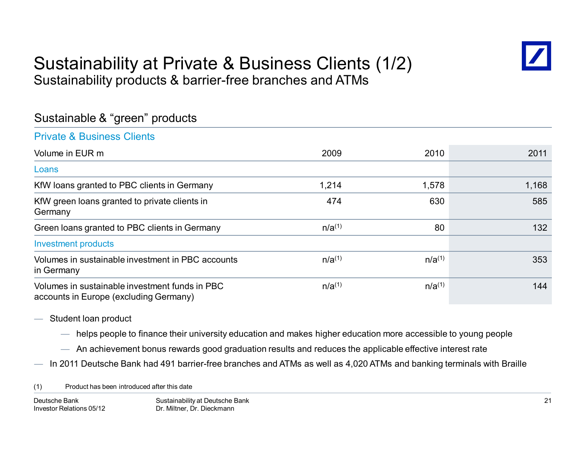### Sustainability at Private & Business Clients (1/2) Sustainability products & barrier-free branches and ATMs



### Sustainable & "green" products

#### Private & Business Clients

| Volume in EUR m                                                                          | 2009        | 2010        | 2011  |
|------------------------------------------------------------------------------------------|-------------|-------------|-------|
| Loans                                                                                    |             |             |       |
| KfW loans granted to PBC clients in Germany                                              | 1,214       | 1,578       | 1,168 |
| KfW green loans granted to private clients in<br>Germany                                 | 474         | 630         | 585   |
| Green loans granted to PBC clients in Germany                                            | $n/a^{(1)}$ | 80          | 132   |
| <b>Investment products</b>                                                               |             |             |       |
| Volumes in sustainable investment in PBC accounts<br>in Germany                          | $n/a^{(1)}$ | $n/a^{(1)}$ | 353   |
| Volumes in sustainable investment funds in PBC<br>accounts in Europe (excluding Germany) | $n/a^{(1)}$ | $n/a^{(1)}$ | 144   |

- Student loan product
	- helps people to finance their university education and makes higher education more accessible to young people
	- $-$  An achievement bonus rewards good graduation results and reduces the applicable effective interest rate
- In 2011 Deutsche Bank had 491 barrier-free branches and ATMs as well as 4,020 ATMs and banking terminals with Braille

(1) Product has been introduced after this date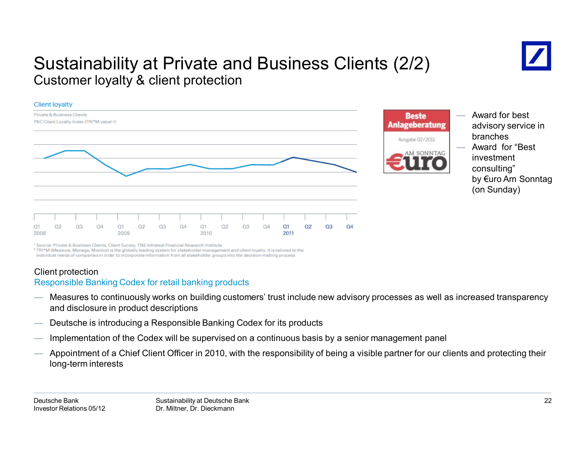### Sustainability at Private and Business Clients (2/2) Customer loyalty & client protection





- Award for best advisory service in branches— Award for "Best investment consulting"
	- by €uro Am Sonntag (on Sunday)

<sup>1</sup> Source: Private & Business Clients, Client Survey, TNS Infratest Financial Research Institute

<sup>2</sup> TRI\*M (Measure, Manage, Monitor) is the globally leading system for stakeholder management and client loyalty. It is tailored to the individual needs of companies in order to incorporate information from all stakeholder groups into the decision-making process

#### Client protection

#### Responsible Banking Codex for retail banking products

- Measures to continuously works on building customers' trust include new advisory processes as well as increased transparency and disclosure in product descriptions
- Deutsche is introducing a Responsible Banking Codex for its products
- Implementation of the Codex will be supervised on a continuous basis by a senior management panel
- Appointment of a Chief Client Officer in 2010, with the responsibility of being a visible partner for our clients and protecting their long-term interests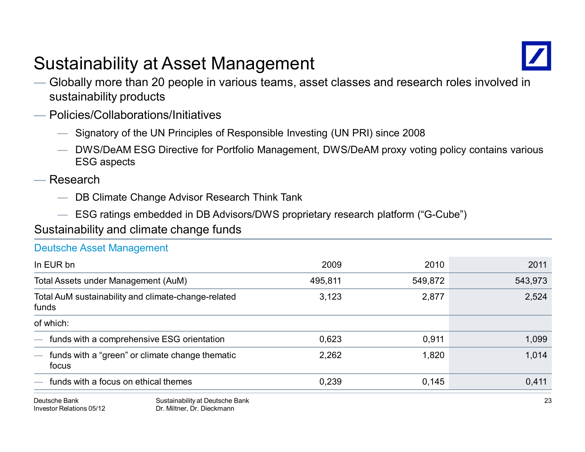# Sustainability at Asset Management



- Globally more than 20 people in various teams, asset classes and research roles involved in sustainability products
- Policies/Collaborations/Initiatives
	- Signatory of the UN Principles of Responsible Investing (UN PRI) since 2008
	- DWS/DeAM ESG Directive for Portfolio Management, DWS/DeAM proxy voting policy contains various ESG aspects
- Research

Investor Relations 05/12

— DB Climate Change Advisor Research Think Tank

Dr. Miltner, Dr. Dieckmann

— ESG ratings embedded in DB Advisors/DWS proprietary research platform ("G-Cube")

Sustainability and climate change funds

Deutsche Asset Management

| Deutsche Asset Management                                                                                        |                                              |         |         |         |
|------------------------------------------------------------------------------------------------------------------|----------------------------------------------|---------|---------|---------|
| In EUR bn<br>Total Assets under Management (AuM)<br>Total AuM sustainability and climate-change-related<br>funds |                                              | 2009    | 2010    | 2011    |
|                                                                                                                  |                                              | 495,811 | 549,872 | 543,973 |
|                                                                                                                  |                                              | 3,123   | 2,877   | 2,524   |
| of which:                                                                                                        |                                              |         |         |         |
|                                                                                                                  | - funds with a comprehensive ESG orientation | 0,623   | 0,911   | 1,099   |
| funds with a "green" or climate change thematic<br>$\overline{\phantom{0}}$<br>focus                             |                                              | 2,262   | 1,820   | 1,014   |
| funds with a focus on ethical themes                                                                             |                                              | 0.239   | 0.145   | 0.411   |
| Deutsche Bank                                                                                                    | Sustainability at Deutsche Bank              |         |         | 23      |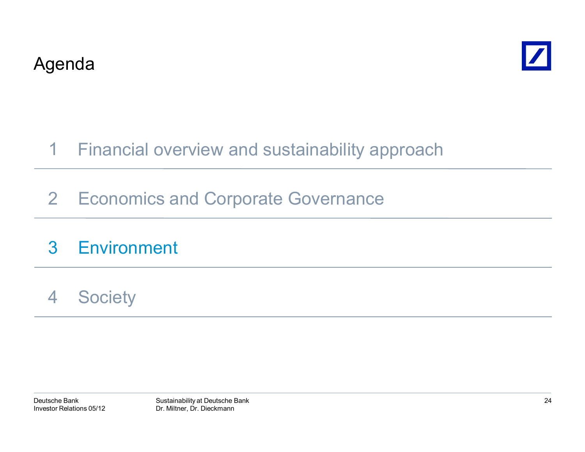



#### Financial overview and sustainability approach 1

2 Economics and Corporate Governance

#### 3**Environment**

4**Society**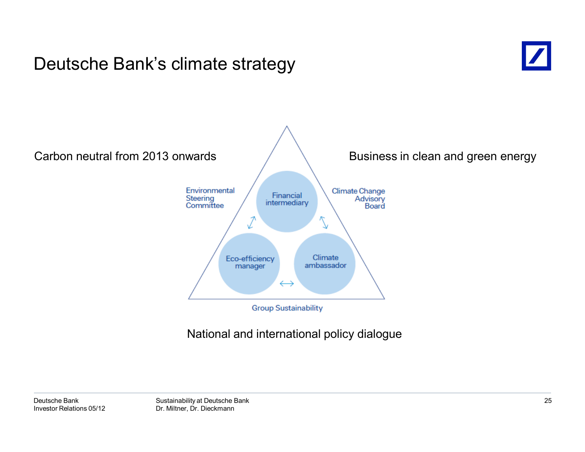### Deutsche Bank's climate strategy





### National and international policy dialogue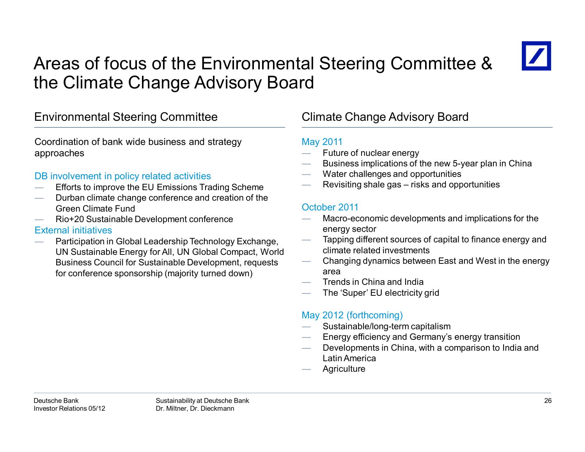# Areas of focus of the Environmental Steering Committee & the Climate Change Advisory Board



#### Environmental Steering Committee Climate Change Advisory Board

Coordination of bank wide business and strategy approaches

#### DB involvement in policy related activities

- Efforts to improve the EU Emissions Trading Scheme
- Durban climate change conference and creation of the Green Climate Fund
- Rio+20 Sustainable Development conference

#### External initiatives

 Participation in Global Leadership Technology Exchange, UN Sustainable Energy for All, UN Global Compact, World Business Council for Sustainable Development, requests for conference sponsorship (majority turned down)

#### May 2011

- Future of nuclear energy
- Business implications of the new 5-year plan in China
- Water challenges and opportunities
- Revisiting shale gas risks and opportunities

#### October 2011

- Macro-economic developments and implications for the energy sector
- Tapping different sources of capital to finance energy and climate related investments
- Changing dynamics between East and West in the energy area
- Trends in China and India
- The 'Super' EU electricity grid

#### May 2012 (forthcoming)

- Sustainable/long-term capitalism
- Energy efficiency and Germany's energy transition
- Developments in China, with a comparison to India and Latin America
- **Agriculture**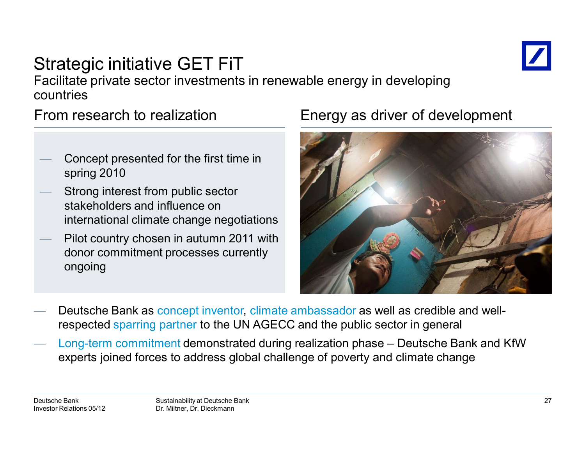

### Strategic initiative GET FiT Facilitate private sector investments in renewable energy in developing countries

From research to realization

- Concept presented for the first time in spring 2010
- Strong interest from public sector stakeholders and influence on international climate change negotiations
- Pilot country chosen in autumn 2011 with donor commitment processes currently ongoing

### Energy as driver of development



- Deutsche Bank as concept inventor, climate ambassador as well as credible and wellrespected sparring partner to the UN AGECC and the public sector in general
- Long-term commitment demonstrated during realization phase Deutsche Bank and KfW experts joined forces to address global challenge of poverty and climate change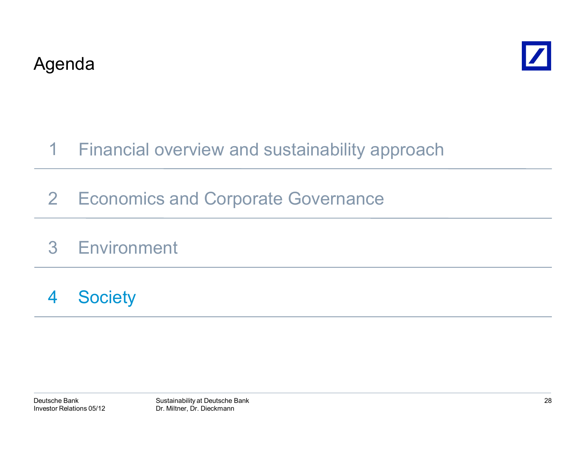



#### Financial overview and sustainability approach 1

- 2 Economics and Corporate Governance
- 3 Environment
- 4**Society**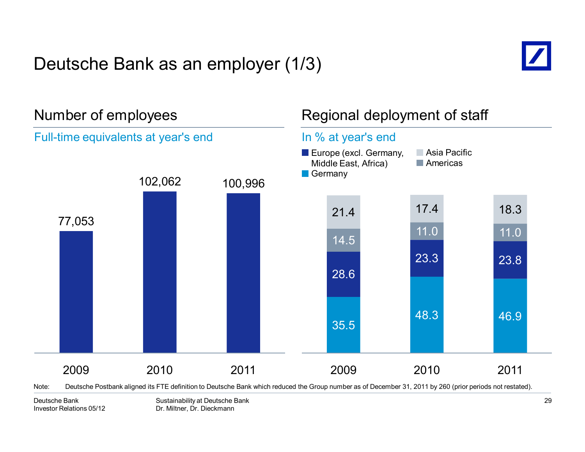# Deutsche Bank as an employer (1/3)





Note: Deutsche Postbank aligned its FTE definition to Deutsche Bank which reduced the Group number as of December 31, 2011 by 260 (prior periods not restated).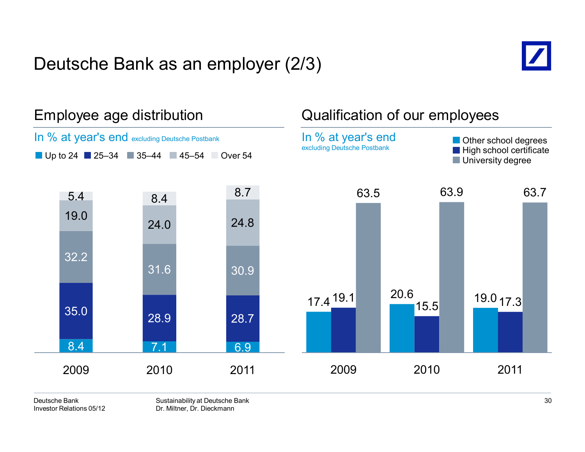### Deutsche Bank as an employer (2/3)





#### Deutsche BankInvestor Relations 05/12

Sustainability at Deutsche Bank Dr. Miltner, Dr. Dieckmann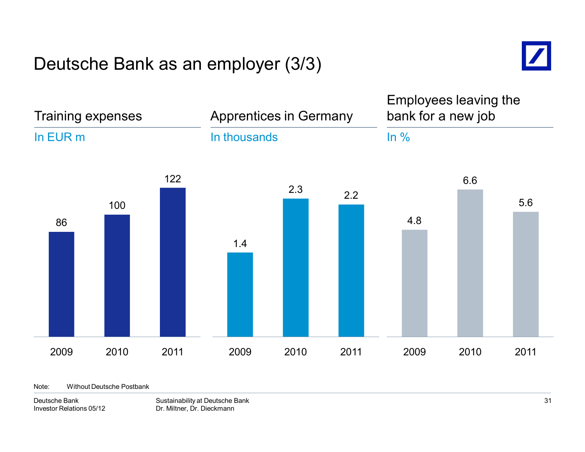### Deutsche Bank as an employer (3/3)



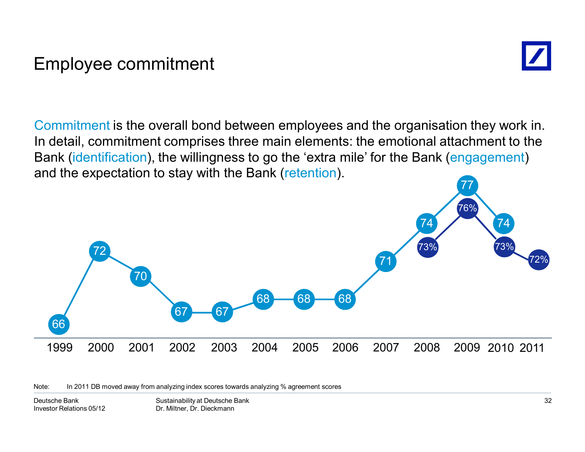### Employee commitment



Commitment is the overall bond between employees and the organisation they work in. In detail, commitment comprises three main elements: the emotional attachment to the Bank (identification), the willingness to go the 'extra mile' for the Bank (engagement) and the expectation to stay with the Bank (retention).



Note: In 2011 DB moved away from analyzing index scores towards analyzing % agreement scores

Deutsche BankInvestor Relations 05/12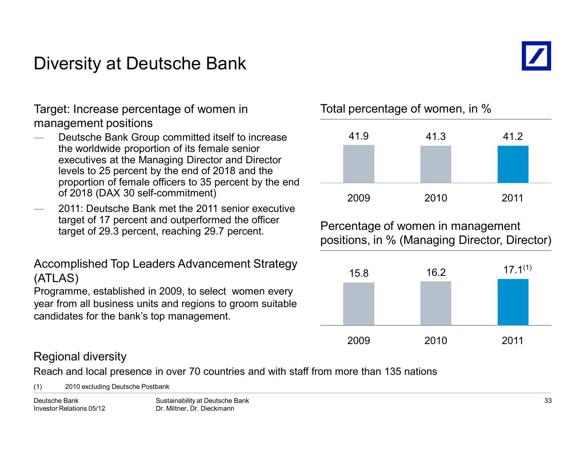### Diversity at Deutsche Bank



Target: Increase percentage of women in management positions

- Deutsche Bank Group committed itself to increase the worldwide proportion of its female senior executives at the Managing Director and Director levels to 25 percent by the end of 2018 and the proportion of female officers to 35 percent by the end of 2018 (DAX 30 self-commitment)
- 2011: Deutsche Bank met the 2011 senior executive target of 17 percent and outperformed the officer target of 29.3 percent, reaching 29.7 percent.

Accomplished Top Leaders Advancement Strategy (ATLAS)

Programme, established in 2009, to select women every year from all business units and regions to groom suitable candidates for the bank's top management.

Total percentage of women, in %



Percentage of women in management positions, in % (Managing Director, Director)



#### Regional diversity

Reach and local presence in over 70 countries and with staff from more than 135 nations

(1) 2010 excluding Deutsche Postbank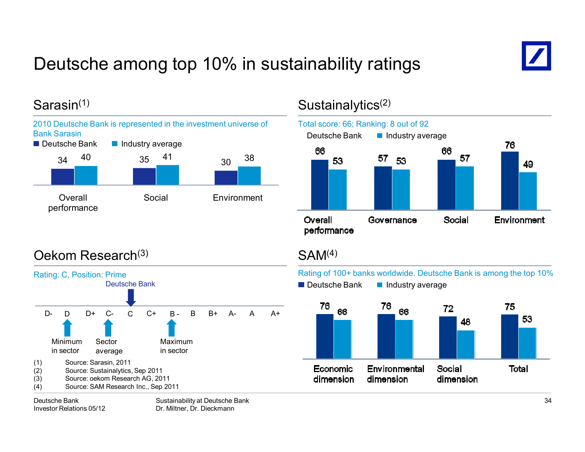# Deutsche among top 10% in sustainability ratings



### Sarasin(1)



### Sustainalytics<sup>(2)</sup>



### Oekom Research(3)



### $SAM<sup>(4)</sup>$

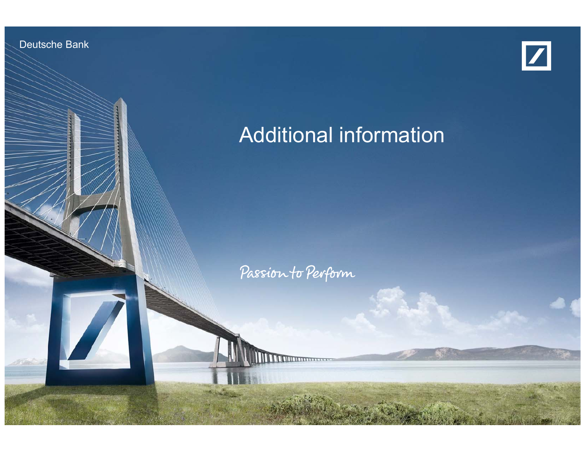Deutsche Bank

Investor Relations 05/12



# Additional information

Passion to Perform

Sustainability at Deutsche Bank Dr. Milton, Dr. Dieckmann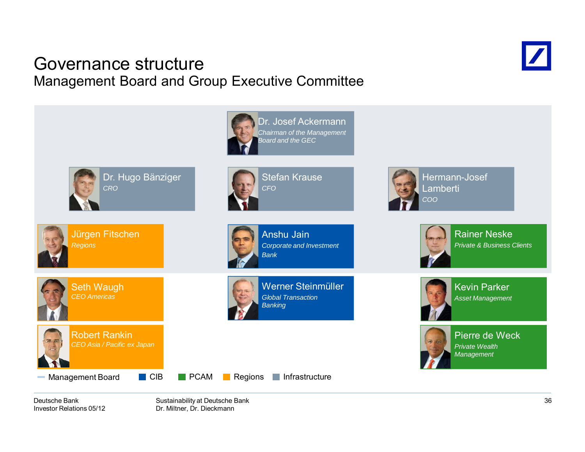### Governance structureManagement Board and Group Executive Committee





Deutsche BankInvestor Relations 05/12

Sustainability at Deutsche Bank Dr. Miltner, Dr. Dieckmann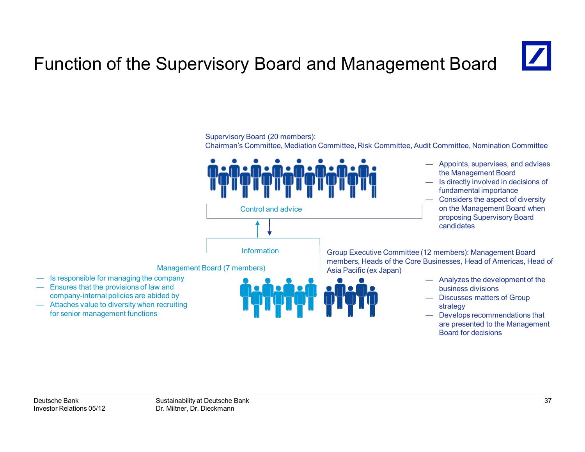# Function of the Supervisory Board and Management Board

Supervisory Board (20 members):



for senior management functions

— Develops recommendations that are presented to the Management

Board for decisions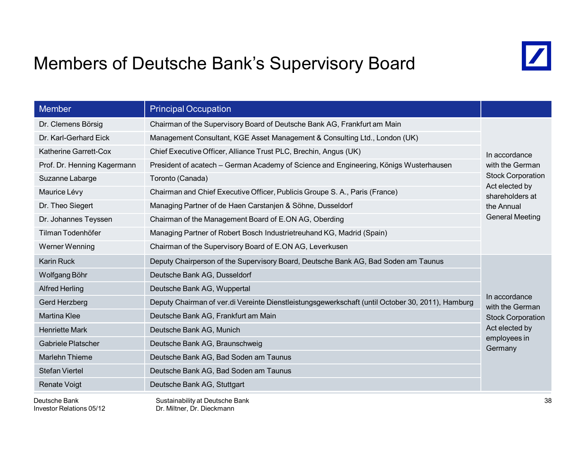### Members of Deutsche Bank's Supervisory Board



| <b>Member</b>                                                                                                     | <b>Principal Occupation</b>                                                           |                                                               |  |
|-------------------------------------------------------------------------------------------------------------------|---------------------------------------------------------------------------------------|---------------------------------------------------------------|--|
| Dr. Clemens Börsig                                                                                                | Chairman of the Supervisory Board of Deutsche Bank AG, Frankfurt am Main              |                                                               |  |
| Dr. Karl-Gerhard Eick                                                                                             | Management Consultant, KGE Asset Management & Consulting Ltd., London (UK)            |                                                               |  |
| Katherine Garrett-Cox                                                                                             | Chief Executive Officer, Alliance Trust PLC, Brechin, Angus (UK)                      | In accordance                                                 |  |
| Prof. Dr. Henning Kagermann                                                                                       | President of acatech - German Academy of Science and Engineering, Königs Wusterhausen |                                                               |  |
| Suzanne Labarge<br>Toronto (Canada)                                                                               |                                                                                       | <b>Stock Corporation</b><br>Act elected by<br>shareholders at |  |
| Maurice Lévy<br>Chairman and Chief Executive Officer, Publicis Groupe S. A., Paris (France)                       |                                                                                       |                                                               |  |
| Dr. Theo Siegert                                                                                                  | Managing Partner of de Haen Carstanjen & Söhne, Dusseldorf                            | the Annual                                                    |  |
| Dr. Johannes Teyssen                                                                                              | Chairman of the Management Board of E.ON AG, Oberding                                 | <b>General Meeting</b>                                        |  |
| Tilman Todenhöfer                                                                                                 | Managing Partner of Robert Bosch Industrietreuhand KG, Madrid (Spain)                 |                                                               |  |
| Werner Wenning                                                                                                    | Chairman of the Supervisory Board of E.ON AG, Leverkusen                              |                                                               |  |
| <b>Karin Ruck</b>                                                                                                 | Deputy Chairperson of the Supervisory Board, Deutsche Bank AG, Bad Soden am Taunus    |                                                               |  |
| Wolfgang Böhr<br>Deutsche Bank AG, Dusseldorf                                                                     |                                                                                       |                                                               |  |
| <b>Alfred Herling</b>                                                                                             | Deutsche Bank AG, Wuppertal                                                           |                                                               |  |
| Deputy Chairman of ver.di Vereinte Dienstleistungsgewerkschaft (until October 30, 2011), Hamburg<br>Gerd Herzberg |                                                                                       | In accordance<br>with the German                              |  |
| <b>Martina Klee</b>                                                                                               | Deutsche Bank AG, Frankfurt am Main                                                   | <b>Stock Corporation</b>                                      |  |
| <b>Henriette Mark</b>                                                                                             | Deutsche Bank AG, Munich                                                              | Act elected by<br>employees in<br>Germany                     |  |
| Gabriele Platscher                                                                                                | Deutsche Bank AG, Braunschweig                                                        |                                                               |  |
| <b>Marlehn Thieme</b>                                                                                             | Deutsche Bank AG, Bad Soden am Taunus                                                 |                                                               |  |
| <b>Stefan Viertel</b>                                                                                             | Deutsche Bank AG, Bad Soden am Taunus                                                 |                                                               |  |
| <b>Renate Voigt</b>                                                                                               | Deutsche Bank AG, Stuttgart                                                           |                                                               |  |
| Deutsche Bank                                                                                                     | Sustainability at Deutsche Bank                                                       | 38                                                            |  |

Investor Relations 05/12

Sustainability at Deutsche Bank Dr. Miltner, Dr. Dieckmann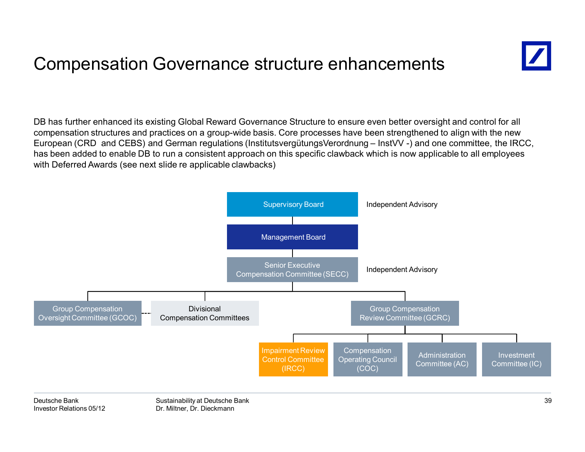### Compensation Governance structure enhancements



DB has further enhanced its existing Global Reward Governance Structure to ensure even better oversight and control for all compensation structures and practices on a group-wide basis. Core processes have been strengthened to align with the new European (CRD and CEBS) and German regulations (InstitutsvergütungsVerordnung – InstVV -) and one committee, the IRCC, has been added to enable DB to run a consistent approach on this specific clawback which is now applicable to all employees with Deferred Awards (see next slide re applicable clawbacks)

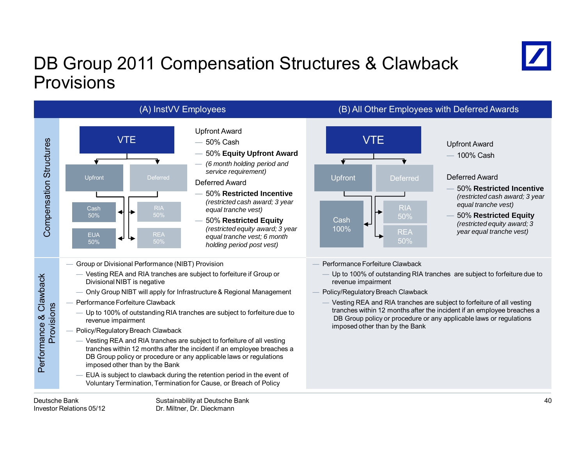# DB Group 2011 Compensation Structures & Clawback Provisions





- Group or Divisional Performance (NIBT) Provision
	- Vesting REA and RIA tranches are subject to forfeiture if Group or Divisional NIBT is negative
	- Only Group NIBT will apply for Infrastructure & Regional Management
- Performance Forfeiture Clawback
	- Up to 100% of outstanding RIA tranches are subject to forfeiture due to revenue impairment
- Policy/Regulatory Breach Clawback
	- Vesting REA and RIA tranches are subject to forfeiture of all vesting tranches within 12 months after the incident if an employee breaches a DB Group policy or procedure or any applicable laws or regulations imposed other than by the Bank
	- EUA is subject to clawback during the retention period in the event of Voluntary Termination, Termination for Cause, or Breach of Policy

![](_page_40_Figure_12.jpeg)

### 100% Cash

#### Deferred Award

- 50% **Restricted Incentive**  *(restricted cash award; 3 year equal tranche vest)*
- 50% **Restricted Equity**  *(restricted equity award; 3 year equal tranche vest)*
- Performance Forfeiture Clawback
	- Up to 100% of outstanding RIA tranches are subject to forfeiture due to revenue impairment
- Policy/Regulatory Breach Clawback
- Vesting REA and RIA tranches are subject to forfeiture of all vesting tranches within 12 months after the incident if an employee breaches a DB Group policy or procedure or any applicable laws or regulations imposed other than by the Bank

Performance & Clawback Provisions

Performance & Clawback Provisions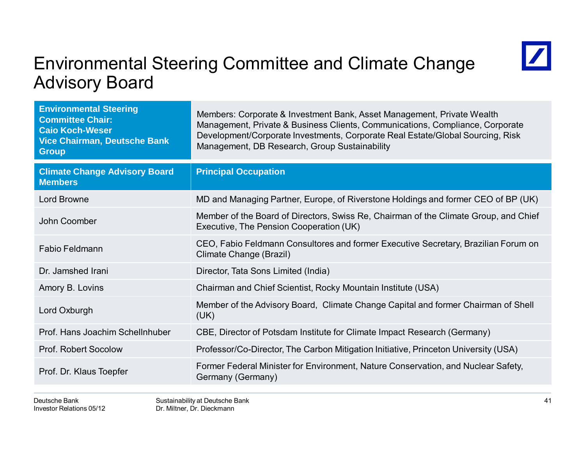### Environmental Steering Committee and Climate Change Advisory Board

![](_page_41_Picture_1.jpeg)

| <b>Environmental Steering</b><br><b>Committee Chair:</b><br><b>Caio Koch-Weser</b><br><b>Vice Chairman, Deutsche Bank</b><br><b>Group</b> | Members: Corporate & Investment Bank, Asset Management, Private Wealth<br>Management, Private & Business Clients, Communications, Compliance, Corporate<br>Development/Corporate Investments, Corporate Real Estate/Global Sourcing, Risk<br>Management, DB Research, Group Sustainability |
|-------------------------------------------------------------------------------------------------------------------------------------------|--------------------------------------------------------------------------------------------------------------------------------------------------------------------------------------------------------------------------------------------------------------------------------------------|
| <b>Climate Change Advisory Board</b><br><b>Members</b>                                                                                    | <b>Principal Occupation</b>                                                                                                                                                                                                                                                                |
| <b>Lord Browne</b>                                                                                                                        | MD and Managing Partner, Europe, of Riverstone Holdings and former CEO of BP (UK)                                                                                                                                                                                                          |
| John Coomber                                                                                                                              | Member of the Board of Directors, Swiss Re, Chairman of the Climate Group, and Chief<br>Executive, The Pension Cooperation (UK)                                                                                                                                                            |
| <b>Fabio Feldmann</b>                                                                                                                     | CEO, Fabio Feldmann Consultores and former Executive Secretary, Brazilian Forum on<br>Climate Change (Brazil)                                                                                                                                                                              |
| Dr. Jamshed Irani                                                                                                                         | Director, Tata Sons Limited (India)                                                                                                                                                                                                                                                        |
| Amory B. Lovins                                                                                                                           | Chairman and Chief Scientist, Rocky Mountain Institute (USA)                                                                                                                                                                                                                               |
| Lord Oxburgh                                                                                                                              | Member of the Advisory Board, Climate Change Capital and former Chairman of Shell<br>(UK)                                                                                                                                                                                                  |
| Prof. Hans Joachim Schellnhuber                                                                                                           | CBE, Director of Potsdam Institute for Climate Impact Research (Germany)                                                                                                                                                                                                                   |
| <b>Prof. Robert Socolow</b>                                                                                                               | Professor/Co-Director, The Carbon Mitigation Initiative, Princeton University (USA)                                                                                                                                                                                                        |
| Prof. Dr. Klaus Toepfer                                                                                                                   | Former Federal Minister for Environment, Nature Conservation, and Nuclear Safety,<br>Germany (Germany)                                                                                                                                                                                     |
|                                                                                                                                           |                                                                                                                                                                                                                                                                                            |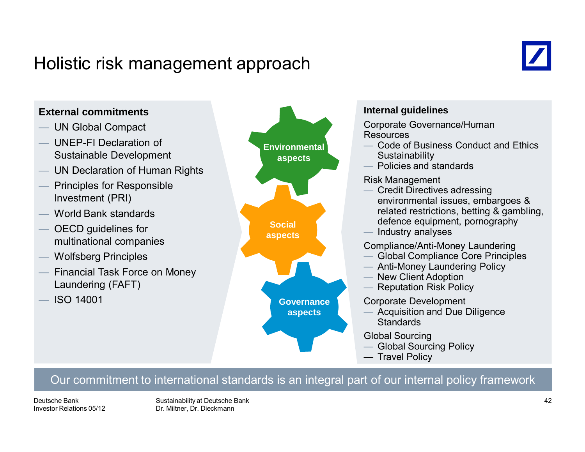### Holistic risk management approach

![](_page_42_Picture_1.jpeg)

![](_page_42_Figure_2.jpeg)

#### Our commitment to international standards is an integral part of our internal policy framework

Deutsche BankInvestor Relations 05/12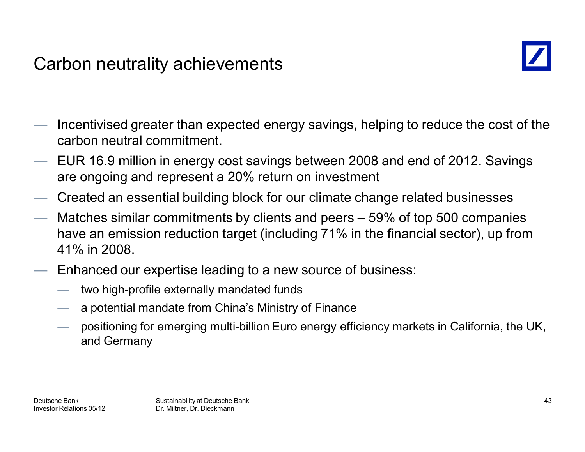### Carbon neutrality achievements

![](_page_43_Picture_1.jpeg)

- Incentivised greater than expected energy savings, helping to reduce the cost of the carbon neutral commitment.
- EUR 16.9 million in energy cost savings between 2008 and end of 2012. Savings are ongoing and represent a 20% return on investment
- Created an essential building block for our climate change related businesses
- Matches similar commitments by clients and peers 59% of top 500 companies have an emission reduction target (including 71% in the financial sector), up from 41% in 2008.
- Enhanced our expertise leading to a new source of business:
	- two high-profile externally mandated funds
	- a potential mandate from China's Ministry of Finance
	- positioning for emerging multi-billion Euro energy efficiency markets in California, the UK, and Germany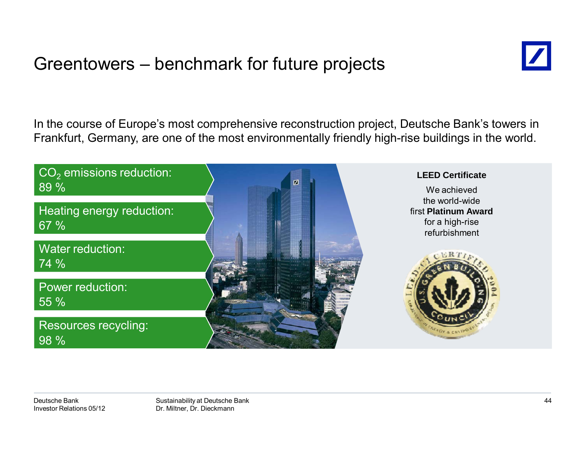### Greentowers – benchmark for future projects

![](_page_44_Picture_1.jpeg)

In the course of Europe's most comprehensive reconstruction project, Deutsche Bank's towers in Frankfurt, Germany, are one of the most environmentally friendly high-rise buildings in the world.

![](_page_44_Picture_3.jpeg)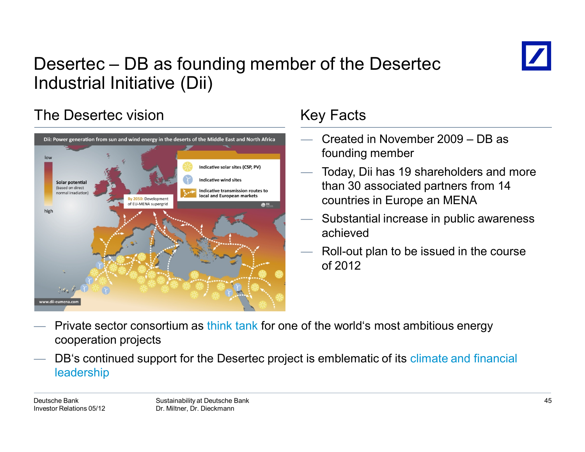![](_page_45_Picture_0.jpeg)

# Desertec – DB as founding member of the Desertec Industrial Initiative (Dii)

### The Desertec vision

![](_page_45_Figure_3.jpeg)

### Key Facts

- Created in November 2009 DB as founding member
- Today, Dii has 19 shareholders and more than 30 associated partners from 14 countries in Europe an MENA
- Substantial increase in public awareness achieved
- Roll-out plan to be issued in the course of 2012

- Private sector consortium as think tank for one of the world's most ambitious energy cooperation projects
- DB's continued support for the Desertec project is emblematic of its climate and financial leadership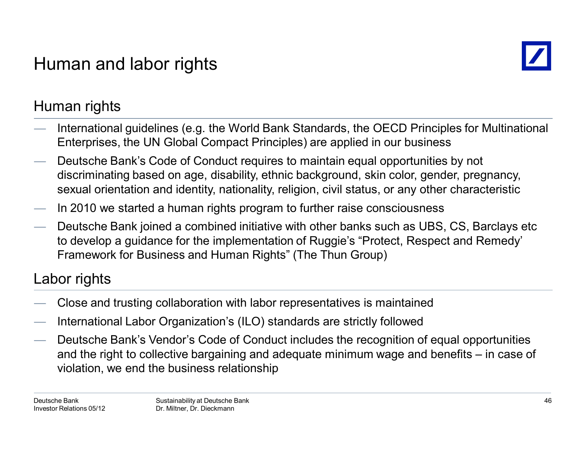# Human and labor rights

![](_page_46_Picture_1.jpeg)

### Human rights

- International guidelines (e.g. the World Bank Standards, the OECD Principles for Multinational Enterprises, the UN Global Compact Principles) are applied in our business
- Deutsche Bank's Code of Conduct requires to maintain equal opportunities by not discriminating based on age, disability, ethnic background, skin color, gender, pregnancy, sexual orientation and identity, nationality, religion, civil status, or any other characteristic
- In 2010 we started a human rights program to further raise consciousness
- Deutsche Bank joined a combined initiative with other banks such as UBS, CS, Barclays etc to develop a guidance for the implementation of Ruggie's "Protect, Respect and Remedy' Framework for Business and Human Rights" (The Thun Group)

### Labor rights

- Close and trusting collaboration with labor representatives is maintained
- International Labor Organization's (ILO) standards are strictly followed
- Deutsche Bank's Vendor's Code of Conduct includes the recognition of equal opportunities and the right to collective bargaining and adequate minimum wage and benefits – in case of violation, we end the business relationship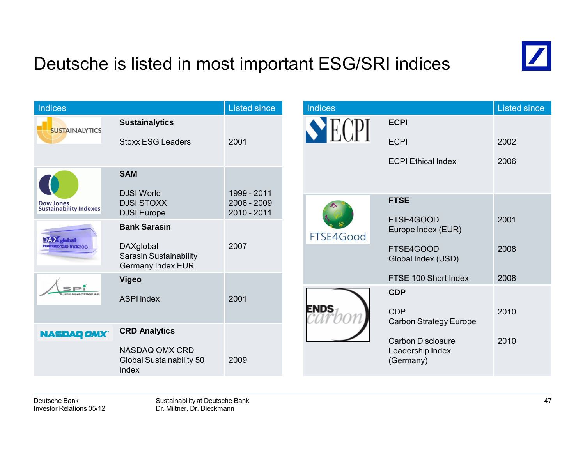# Deutsche is listed in most important ESG/SRI indices

![](_page_47_Picture_1.jpeg)

| Indices                                           |                                                    | <b>Listed since</b>          | <b>Indices</b> |                                 | Listed since |
|---------------------------------------------------|----------------------------------------------------|------------------------------|----------------|---------------------------------|--------------|
| <b>SUSTAINALYTICS</b>                             | <b>Sustainalytics</b>                              |                              |                | <b>ECPI</b>                     |              |
|                                                   | <b>Stoxx ESG Leaders</b>                           | 2001                         |                | <b>ECPI</b>                     | 2002         |
|                                                   |                                                    |                              |                | <b>ECPI Ethical Index</b>       | 2006         |
|                                                   | <b>SAM</b>                                         |                              |                |                                 |              |
|                                                   | <b>DJSI World</b>                                  | 1999 - 2011                  |                | <b>FTSE</b>                     |              |
| <b>Dow Jones</b><br><b>Sustainability Indexes</b> | <b>DJSI STOXX</b><br><b>DJSI</b> Europe            | $2006 - 2009$<br>2010 - 2011 |                |                                 |              |
|                                                   | <b>Bank Sarasin</b>                                | 2007                         | FTSE4Good      | FTSE4GOOD<br>Europe Index (EUR) | 2001         |
| DAX dobal<br>Internationale Indizes               | DAXglobal                                          |                              |                | FTSE4GOOD                       | 2008         |
|                                                   | Sarasin Sustainability<br><b>Germany Index EUR</b> |                              |                | Global Index (USD)              |              |
|                                                   | <b>Vigeo</b>                                       |                              |                | FTSE 100 Short Index            | 2008         |
| <b>SPI</b>                                        | <b>ASPI index</b>                                  | 2001                         |                | <b>CDP</b>                      |              |
|                                                   |                                                    |                              | <b>ENDS</b>    | <b>CDP</b>                      | 2010         |
| <b>NASDAQ OMX</b>                                 | <b>CRD Analytics</b>                               |                              |                | <b>Carbon Strategy Europe</b>   |              |
|                                                   | NASDAQ OMX CRD                                     |                              |                | <b>Carbon Disclosure</b>        | 2010         |
|                                                   | Global Sustainability 50<br>Index                  | 2009                         |                | Leadership Index<br>(Germany)   |              |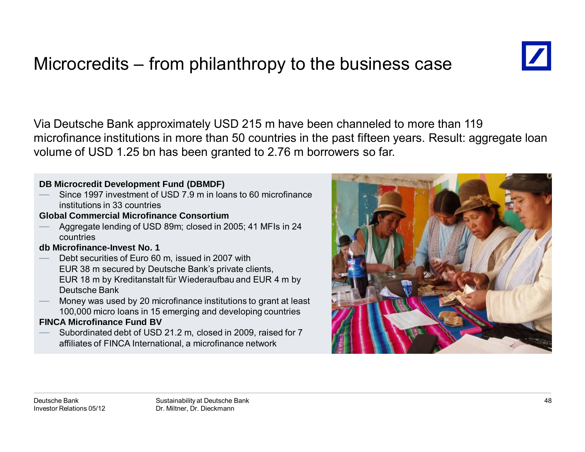# Microcredits – from philanthropy to the business case

![](_page_48_Picture_1.jpeg)

Via Deutsche Bank approximately USD 215 m have been channeled to more than 119 microfinance institutions in more than 50 countries in the past fifteen years. Result: aggregate loan volume of USD 1.25 bn has been granted to 2.76 m borrowers so far.

#### **DB Microcredit Development Fund (DBMDF)**

 Since 1997 investment of USD 7.9 m in loans to 60 microfinance institutions in 33 countries

#### **Global Commercial Microfinance Consortium**

 Aggregate lending of USD 89m; closed in 2005; 41 MFIs in 24 countries

#### **db Microfinance-Invest No. 1**

- Debt securities of Euro 60 m, issued in 2007 with EUR 38 m secured by Deutsche Bank's private clients, EUR 18 m by Kreditanstalt für Wiederaufbau and EUR 4 m by Deutsche Bank
- Money was used by 20 microfinance institutions to grant at least 100,000 micro loans in 15 emerging and developing countries

#### **FINCA Microfinance Fund BV**

 Subordinated debt of USD 21.2 m, closed in 2009, raised for 7 affiliates of FINCA International, a microfinance network

![](_page_48_Picture_12.jpeg)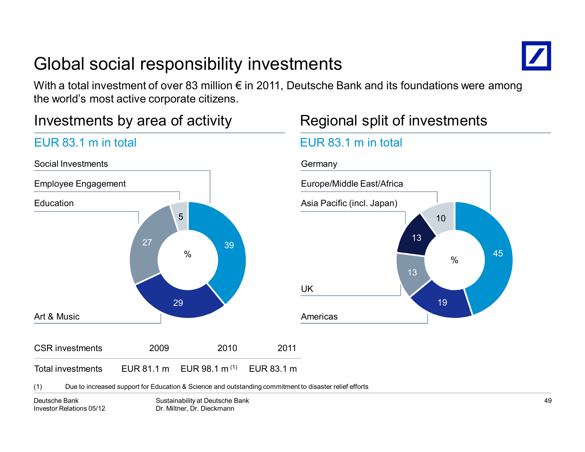# Global social responsibility investments

![](_page_49_Picture_1.jpeg)

With a total investment of over 83 million  $\epsilon$  in 2011, Deutsche Bank and its foundations were among the world's most active corporate citizens.

(1) EUR 83.1 m

### Investments by area of activity

EUR 83.1 m in total

### 3929275CSR investments 2009 2010 2011%Social InvestmentsEmployee Engagement **Education** Art & Music

Total investments EUR 81.1 m EUR 98.1 m

### Regional split of investments

### EUR 83.1 m in total

![](_page_49_Figure_7.jpeg)

(1) Due to increased support for Education & Science and outstanding commitment to disaster relief efforts